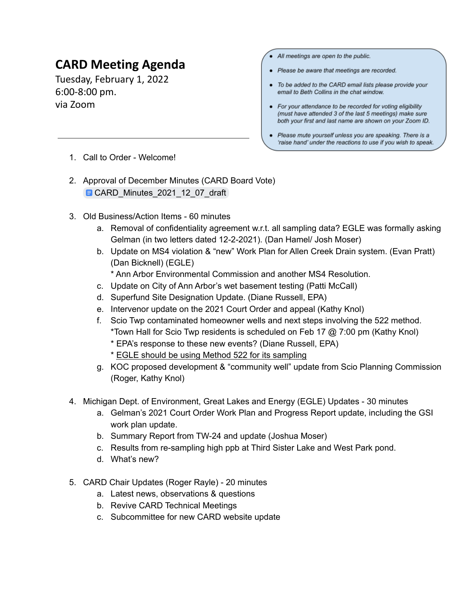## **CARD Meeting Agenda**

Tuesday, February 1, 2022 6:00-8:00 pm. via Zoom

- All meetings are open to the public.
- Please be aware that meetings are recorded.
- To be added to the CARD email lists please provide your email to Beth Collins in the chat window.
- For your attendance to be recorded for voting eligibility (must have attended 3 of the last 5 meetings) make sure both your first and last name are shown on your Zoom ID.
- Please mute yourself unless you are speaking. There is a 'raise hand' under the reactions to use if you wish to speak.

- 1. Call to Order Welcome!
- 2. Approval of December Minutes (CARD Board Vote) [CARD\\_Minutes\\_2021\\_12\\_07\\_draft](https://docs.google.com/document/d/1T-YBZMumW-bmh5bOtV550GXrdhnm-XkD-YIWHXmGWFY/edit?usp=sharing)
- 3. Old Business/Action Items 60 minutes
	- a. Removal of confidentiality agreement w.r.t. all sampling data? EGLE was formally asking Gelman (in two letters dated 12-2-2021). (Dan Hamel/ Josh Moser)
	- b. Update on MS4 violation & "new" Work Plan for Allen Creek Drain system. (Evan Pratt) (Dan Bicknell) (EGLE)
		- \* Ann Arbor Environmental Commission and another MS4 Resolution.
	- c. Update on City of Ann Arbor's wet basement testing (Patti McCall)
	- d. Superfund Site Designation Update. (Diane Russell, EPA)
	- e. Intervenor update on the 2021 Court Order and appeal (Kathy Knol)
	- f. Scio Twp contaminated homeowner wells and next steps involving the 522 method. \*Town Hall for Scio Twp residents is scheduled on Feb 17 @ 7:00 pm (Kathy Knol)
		- \* EPA's response to these new events? (Diane Russell, EPA)
		- \* EGLE should be using Method 522 for its sampling
	- g. KOC proposed development & "community well" update from Scio Planning Commission (Roger, Kathy Knol)
- 4. Michigan Dept. of Environment, Great Lakes and Energy (EGLE) Updates 30 minutes
	- a. Gelman's 2021 Court Order Work Plan and Progress Report update, including the GSI work plan update.
	- b. Summary Report from TW-24 and update (Joshua Moser)
	- c. Results from re-sampling high ppb at Third Sister Lake and West Park pond.
	- d. What's new?
- 5. CARD Chair Updates (Roger Rayle) 20 minutes
	- a. Latest news, observations & questions
	- b. Revive CARD Technical Meetings
	- c. Subcommittee for new CARD website update